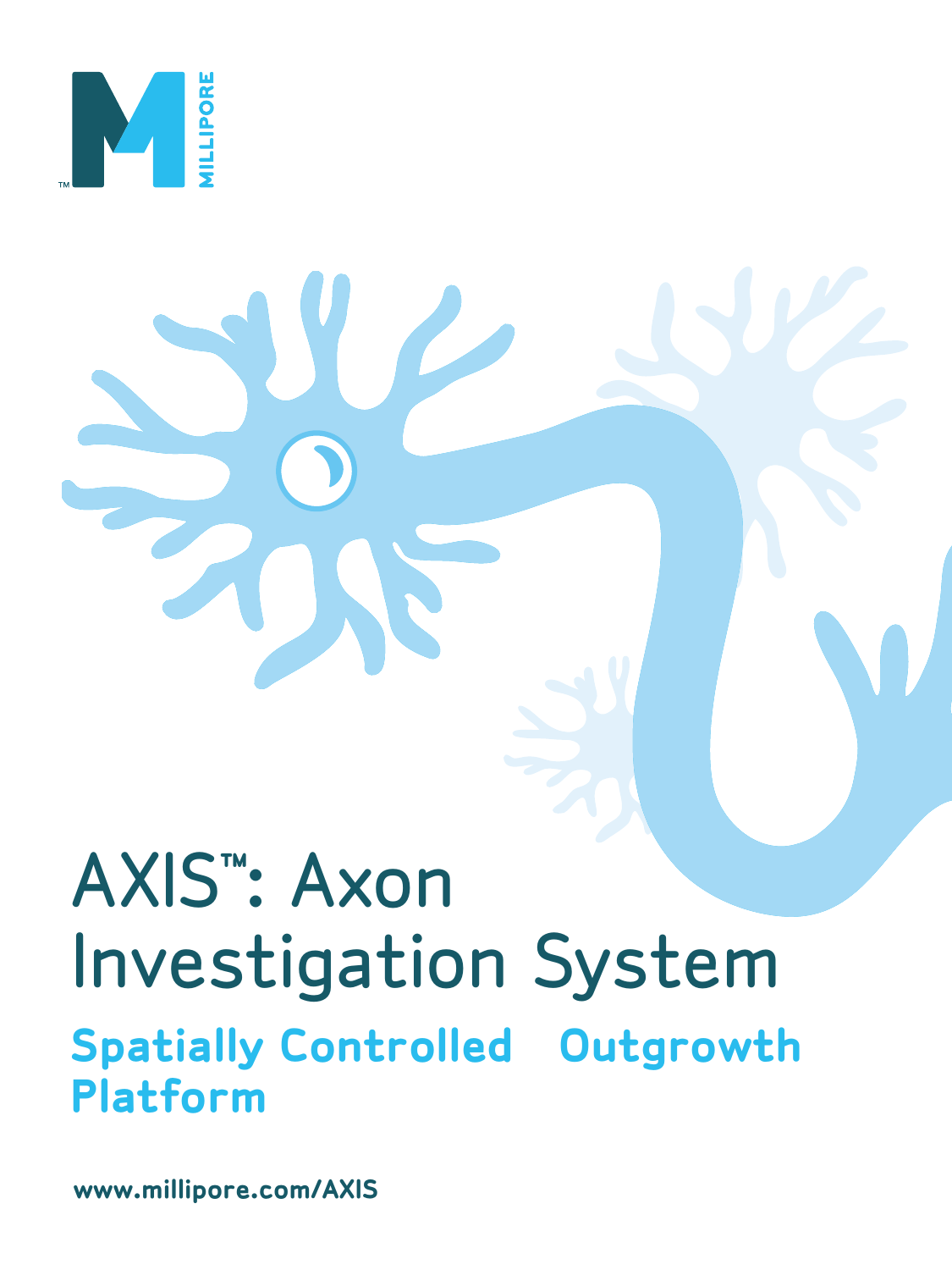

# AXIS™ : Axon Investigation System **Spatially Controlled Outgrowth Platform**

**www.millipore.com/AXIS**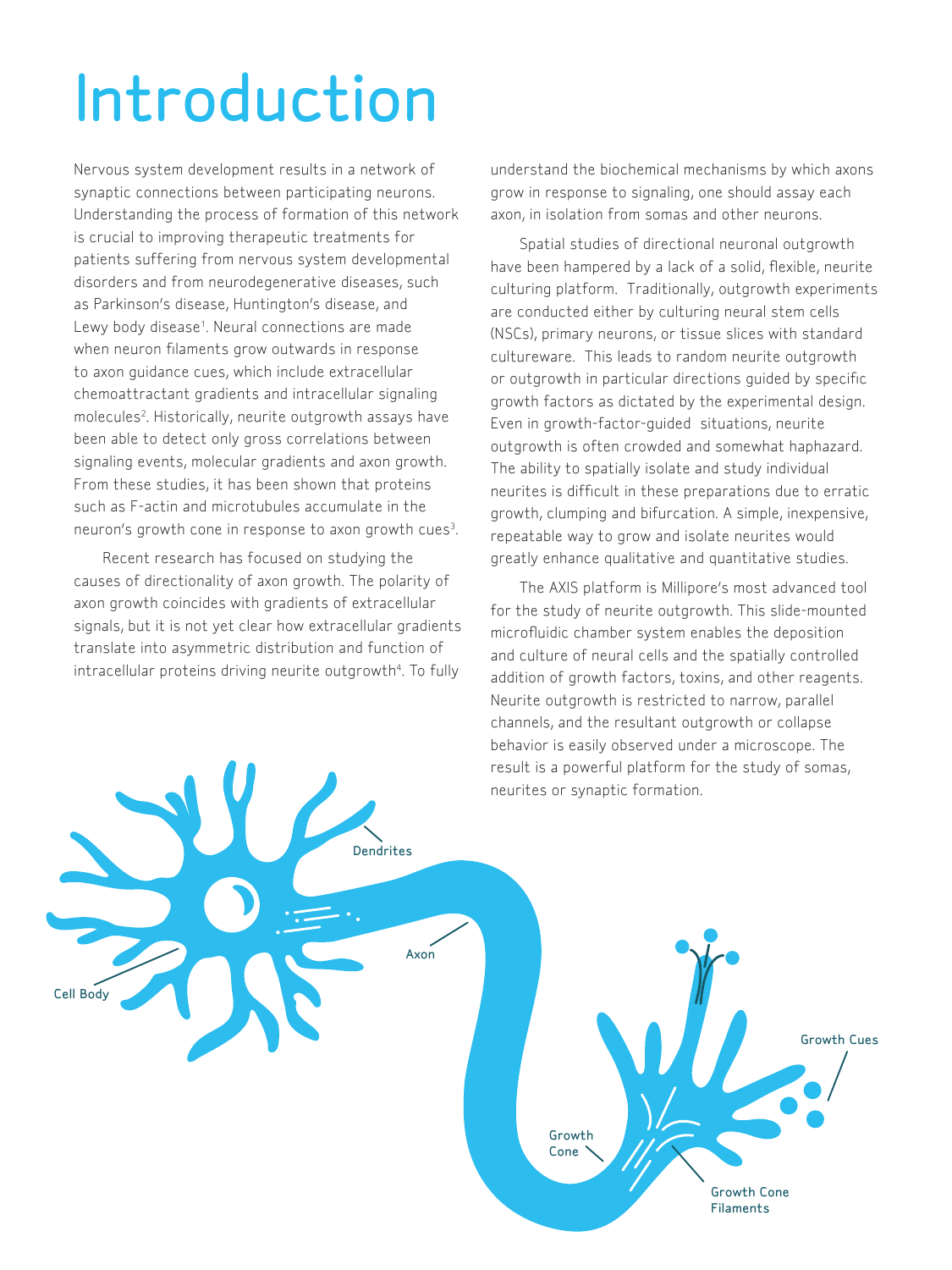# Introduction

Nervous system development results in a network of synaptic connections between participating neurons. Understanding the process of formation of this network is crucial to improving therapeutic treatments for patients suffering from nervous system developmental disorders and from neurodegenerative diseases, such as Parkinson's disease, Huntington's disease, and Lewy body disease<sup>1</sup>. Neural connections are made when neuron filaments grow outwards in response to axon guidance cues, which include extracellular chemoattractant gradients and intracellular signaling molecules<sup>2</sup>. Historically, neurite outgrowth assays have been able to detect only gross correlations between signaling events, molecular gradients and axon growth. From these studies, it has been shown that proteins such as F-actin and microtubules accumulate in the neuron's growth cone in response to axon growth cues<sup>3</sup>.

Recent research has focused on studying the causes of directionality of axon growth. The polarity of axon growth coincides with gradients of extracellular signals, but it is not yet clear how extracellular gradients translate into asymmetric distribution and function of intracellular proteins driving neurite outgrowth<sup>4</sup>. To fully

understand the biochemical mechanisms by which axons grow in response to signaling, one should assay each axon, in isolation from somas and other neurons.

Spatial studies of directional neuronal outgrowth have been hampered by a lack of a solid, flexible, neurite culturing platform. Traditionally, outgrowth experiments are conducted either by culturing neural stem cells (NSCs), primary neurons, or tissue slices with standard cultureware. This leads to random neurite outgrowth or outgrowth in particular directions guided by specific growth factors as dictated by the experimental design. Even in growth-factor-guided situations, neurite outgrowth is often crowded and somewhat haphazard. The ability to spatially isolate and study individual neurites is difficult in these preparations due to erratic growth, clumping and bifurcation. A simple, inexpensive, repeatable way to grow and isolate neurites would greatly enhance qualitative and quantitative studies.

The AXIS platform is Millipore's most advanced tool for the study of neurite outgrowth. This slide-mounted microfluidic chamber system enables the deposition and culture of neural cells and the spatially controlled addition of growth factors, toxins, and other reagents. Neurite outgrowth is restricted to narrow, parallel channels, and the resultant outgrowth or collapse behavior is easily observed under a microscope. The result is a powerful platform for the study of somas, neurites or synaptic formation.

Cell Body Dendrites Axon Growth Cone Growth Cone Filaments Growth Cues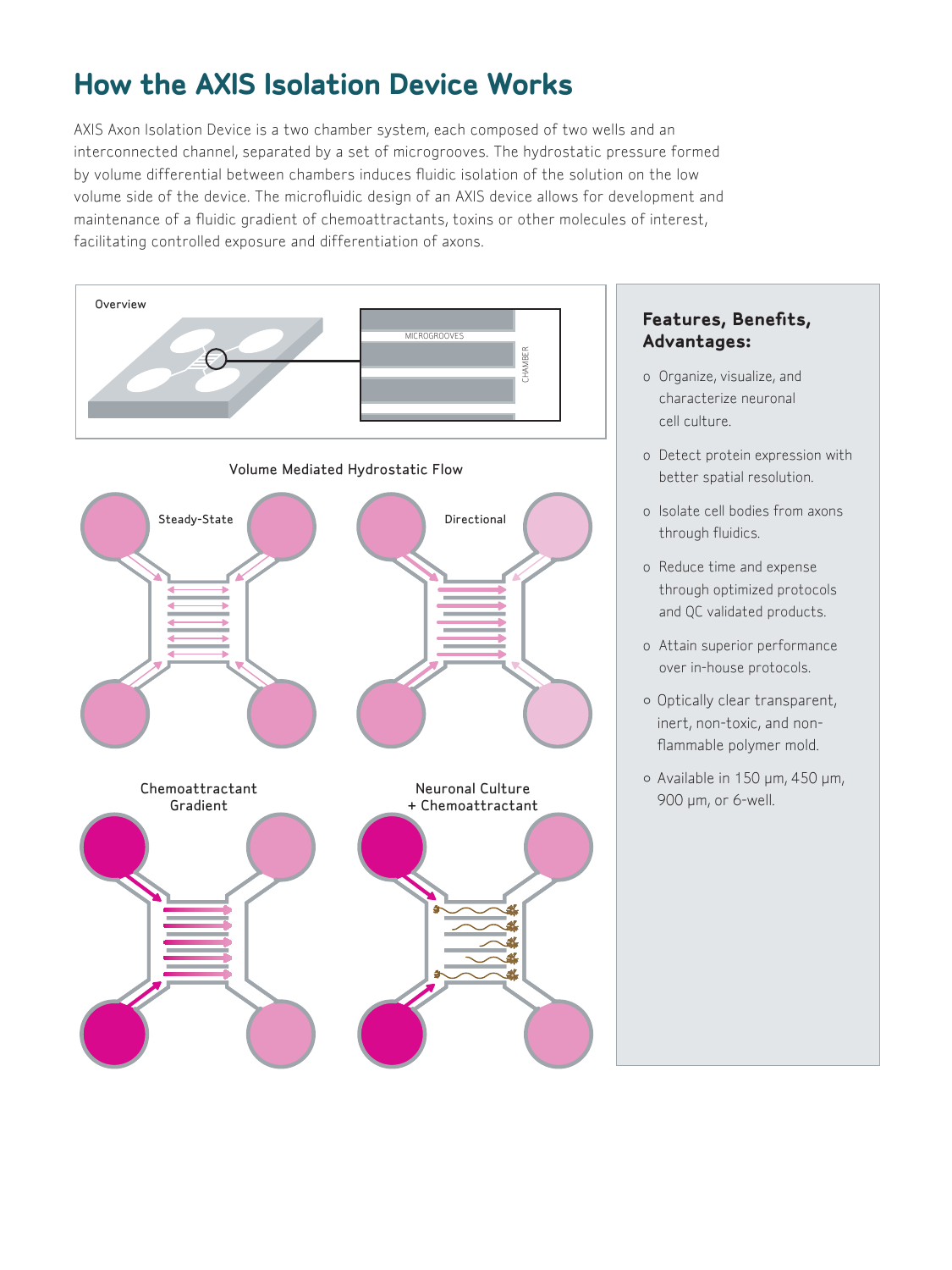# **How the AXIS Isolation Device Works**

AXIS Axon Isolation Device is a two chamber system, each composed of two wells and an interconnected channel, separated by a set of microgrooves. The hydrostatic pressure formed by volume differential between chambers induces fluidic isolation of the solution on the low volume side of the device. The microfluidic design of an AXIS device allows for development and maintenance of a fluidic gradient of chemoattractants, toxins or other molecules of interest, facilitating controlled exposure and differentiation of axons.



### **Features, Benefits, Advantages:**

- o Organize, visualize, and characterize neuronal cell culture.
- o Detect protein expression with better spatial resolution.
- o Isolate cell bodies from axons through fluidics.
- o Reduce time and expense through optimized protocols and QC validated products.
- o Attain superior performance over in-house protocols.
- Optically clear transparent, inert, non-toxic, and nonflammable polymer mold.
- Available in 150 µm, 450 µm, 900 µm, or 6-well.